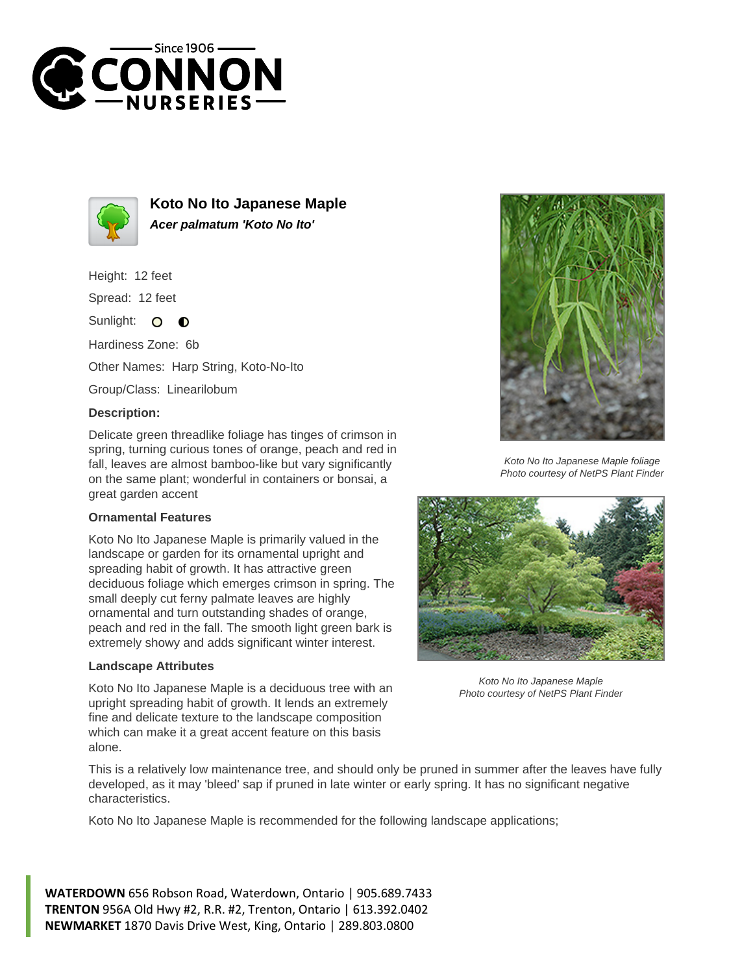



**Koto No Ito Japanese Maple Acer palmatum 'Koto No Ito'**

Height: 12 feet

Spread: 12 feet

Sunlight:  $\circ$  $\bullet$ 

Hardiness Zone: 6b

Other Names: Harp String, Koto-No-Ito

Group/Class: Linearilobum

## **Description:**

Delicate green threadlike foliage has tinges of crimson in spring, turning curious tones of orange, peach and red in fall, leaves are almost bamboo-like but vary significantly on the same plant; wonderful in containers or bonsai, a great garden accent

## **Ornamental Features**

Koto No Ito Japanese Maple is primarily valued in the landscape or garden for its ornamental upright and spreading habit of growth. It has attractive green deciduous foliage which emerges crimson in spring. The small deeply cut ferny palmate leaves are highly ornamental and turn outstanding shades of orange, peach and red in the fall. The smooth light green bark is extremely showy and adds significant winter interest.

## **Landscape Attributes**

Koto No Ito Japanese Maple is a deciduous tree with an upright spreading habit of growth. It lends an extremely fine and delicate texture to the landscape composition which can make it a great accent feature on this basis alone.



Koto No Ito Japanese Maple foliage Photo courtesy of NetPS Plant Finder



Koto No Ito Japanese Maple Photo courtesy of NetPS Plant Finder

This is a relatively low maintenance tree, and should only be pruned in summer after the leaves have fully developed, as it may 'bleed' sap if pruned in late winter or early spring. It has no significant negative characteristics.

Koto No Ito Japanese Maple is recommended for the following landscape applications;

**WATERDOWN** 656 Robson Road, Waterdown, Ontario | 905.689.7433 **TRENTON** 956A Old Hwy #2, R.R. #2, Trenton, Ontario | 613.392.0402 **NEWMARKET** 1870 Davis Drive West, King, Ontario | 289.803.0800